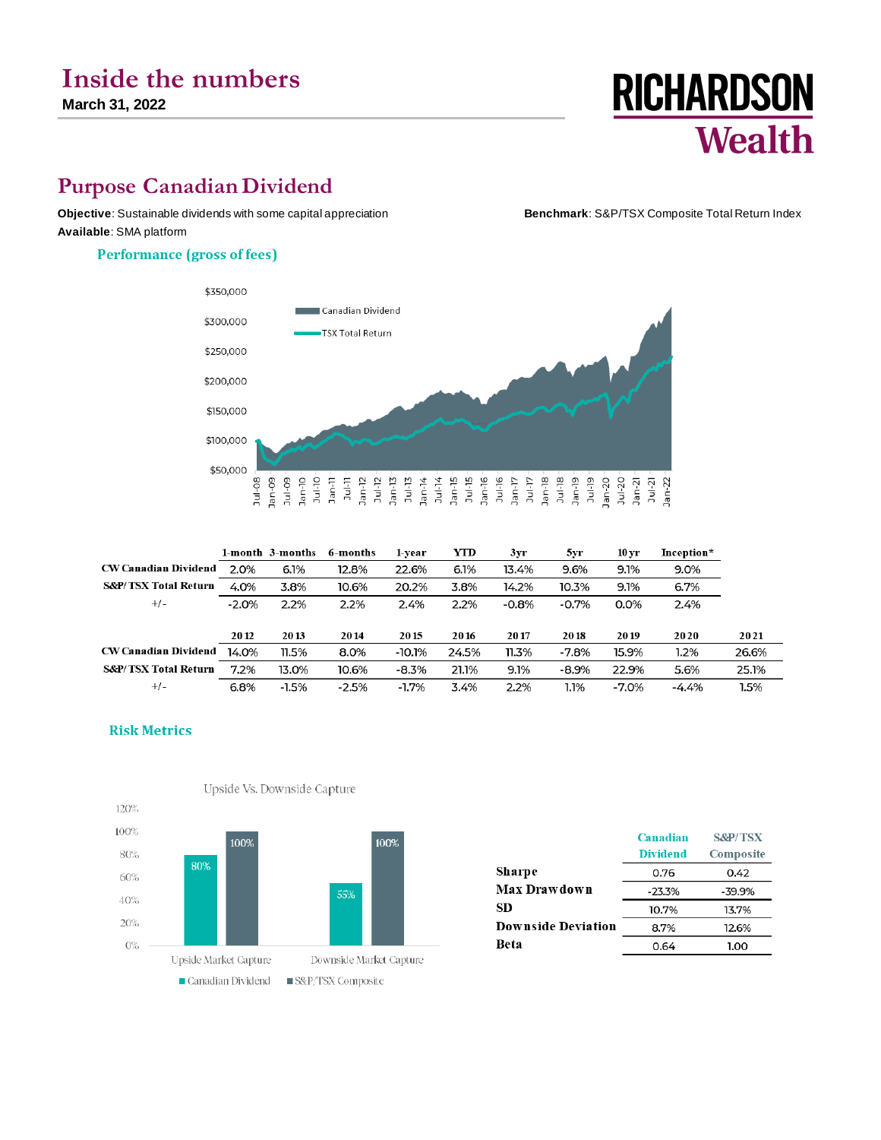# **Inside the numbers**

**March 31, 2022**

# **Purpose Canadian Dividend**

**Objective**: Sustainable dividends with some capital appreciation **Benchmark**: S&P/TSX Composite Total Return Index **Available**: SMA platform

#### **Performance (gross of fees)**



|                                 |         | 1-month 3-months | 6-months | 1-vear   | YTD   | Зуг     | 5yr     | 10 yr   | Inception* |       |
|---------------------------------|---------|------------------|----------|----------|-------|---------|---------|---------|------------|-------|
| <b>CW Canadian Dividend</b>     | 2.0%    | 6.1%             | 12.8%    | 22.6%    | 6.1%  | 13.4%   | 9.6%    | 9.1%    | $9.0\%$    |       |
| <b>S&amp;P/TSX Total Return</b> | 4.0%    | 3.8%             | 10.6%    | 20.2%    | 3.8%  | 14.2%   | 10.3%   | 9.1%    | 6.7%       |       |
| $+/-$                           | $-2.0%$ | 2.2%             | 2.2%     | 2.4%     | 2.2%  | $-0.8%$ | $-0.7%$ | 0.0%    | 2.4%       |       |
|                                 |         |                  |          |          |       |         |         |         |            |       |
|                                 | 2012    | 2013             | 2014     | 2015     | 2016  | 2017    | 2018    | 2019    | 2020       | 2021  |
| <b>CW Canadian Dividend</b>     | 14.0%   | 11.5%            | 8.0%     | $-10.1%$ | 24.5% | 11.3%   | $-7.8%$ | 15.9%   | 1.2%       | 26.6% |
| <b>S&amp;P/TSX Total Return</b> | 7.2%    | 13.0%            | 10.6%    | $-8.3%$  | 21.1% | 9.1%    | $-8.9%$ | 22.9%   | 5.6%       | 25.1% |
| $+/-$                           | 6.8%    | $-1.5%$          | $-2.5%$  | $-1.7%$  | 3.4%  | 2.2%    | 1.1%    | $-7.0%$ | $-4.4%$    | 1.5%  |



|                           | Canadian<br><b>Dividend</b> | <b>S&amp;P/TSX</b><br>Composite |
|---------------------------|-----------------------------|---------------------------------|
| Sharpe                    | 0.76                        | 0.42                            |
| Max Drawdown              | $-23.3%$                    | -39.9%                          |
| SD                        | 10.7%                       | 13.7%                           |
| <b>Downside Deviation</b> | 8.7%                        | 12.6%                           |
| Beta                      | 0.64                        | 1.00                            |

#### **Risk Metrics**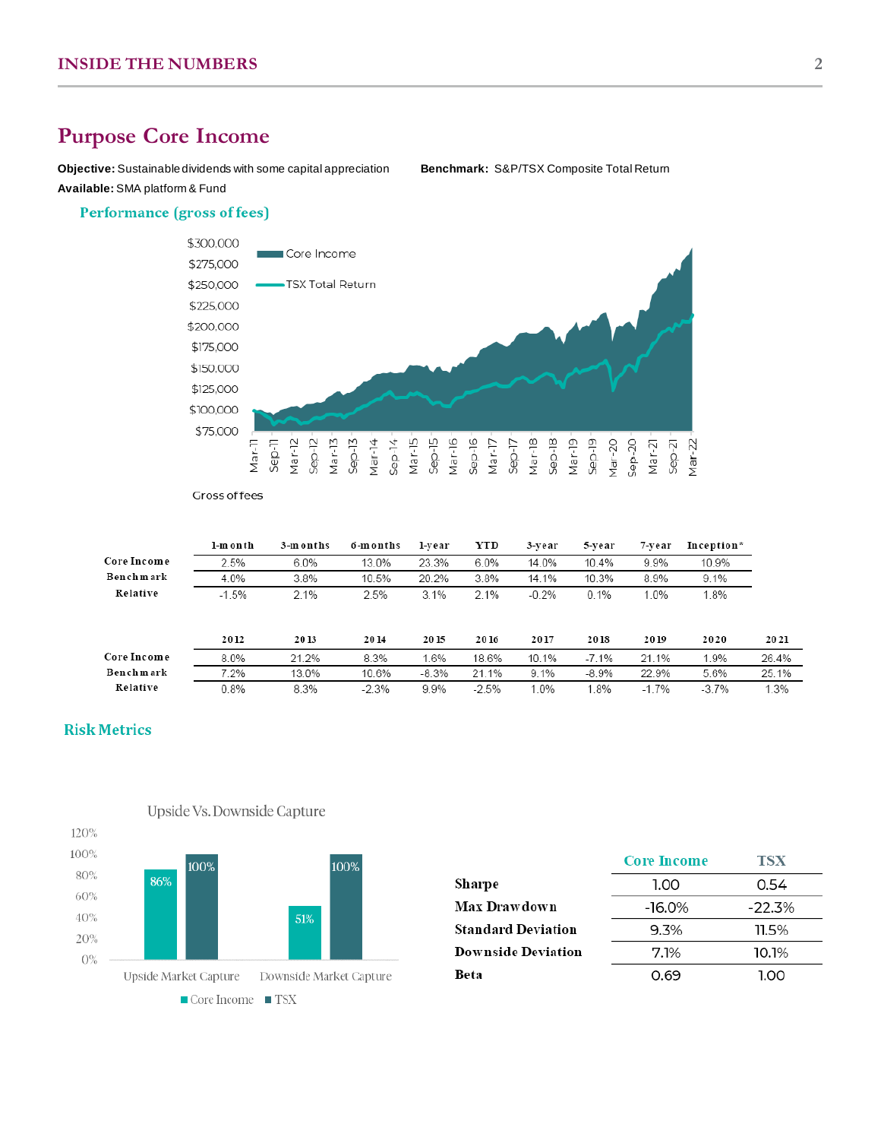## **Purpose Core Income**

**Objective:** Sustainable dividends with some capital appreciation **Benchmark:** S&P/TSX Composite Total Return **Available:** SMA platform & Fund

#### **Performance (gross of fees)**



Gross of fees

|             | l-month | 3-m on ths | 6-months | l-vear  | YTD     | 3-year  | 5-vear  | 7-vear  | Inception* |       |
|-------------|---------|------------|----------|---------|---------|---------|---------|---------|------------|-------|
| Core Income | 2.5%    | $6.0\%$    | 13.0%    | 23.3%   | $6.0\%$ | 14.0%   | 10.4%   | 9.9%    | 10.9%      |       |
| Benchmark   | 4.0%    | 3.8%       | 10.5%    | 20.2%   | 3.8%    | 14.1%   | 10.3%   | 8.9%    | 9.1%       |       |
| Relative    | $-1.5%$ | 2.1%       | 2.5%     | 3.1%    | 2.1%    | $-0.2%$ | 0.1%    | 1.0%    | l.8%       |       |
|             |         |            |          |         |         |         |         |         |            |       |
|             | 2012    | 2013       | 2014     | 2015    | 2016    | 2017    | 2018    | 2019    | 2020       | 2021  |
| Core Income | 8.0%    | 21.2%      | 8.3%     | 1.6%    | 18.6%   | 10.1%   | $-7.1%$ | 21.1%   | 1.9%       | 26.4% |
| Benchmark   | 7.2%    | 13.0%      | 10.6%    | $-8.3%$ | 21.1%   | 9.1%    | $-8.9%$ | 22.9%   | 5.6%       | 25.1% |
| Relative    | 0.8%    | 8.3%       | $-2.3%$  | 9.9%    | $-2.5%$ | 1.0%    | 1.8%    | $-1.7%$ | $-3.7%$    | 1.3%  |

### **Risk Metrics**



Upside Vs. Downside Capture

|                           | <b>Core Income</b> | TSX      |
|---------------------------|--------------------|----------|
| Sharpe                    | 1.00               | 0.54     |
| <b>Max Drawdown</b>       | $-16.0\%$          | $-22.3%$ |
| <b>Standard Deviation</b> | $9.3\%$            | $11.5\%$ |
| <b>Downside Deviation</b> | 7.1%               | 10.1%    |
| Beta                      | 0.69               | 1.00     |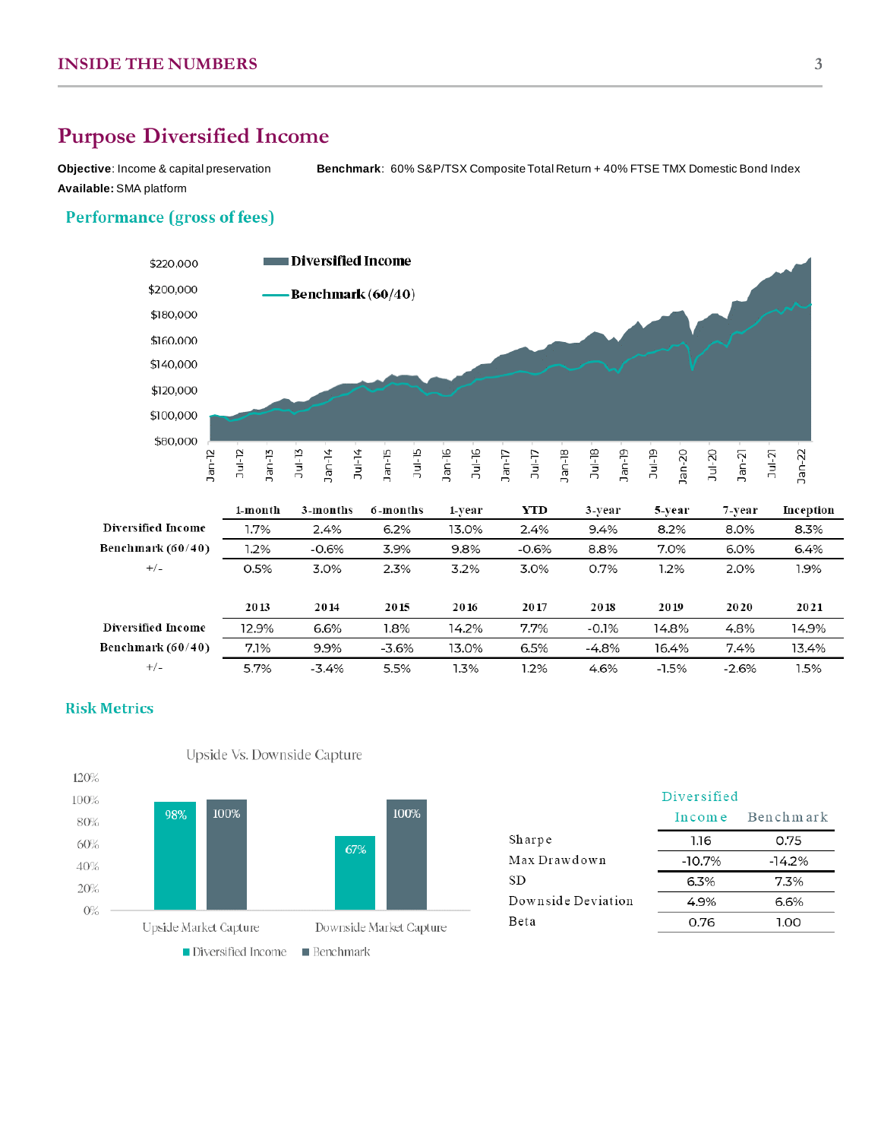## **Purpose Diversified Income**

**Objective**: Income & capital preservation **Benchmark**: 60% S&P/TSX Composite Total Return + 40% FTSE TMX Domestic Bond Index **Available:** SMA platform

## **Performance (gross of fees)**



|                     | 1-month | 3-months | 6-months | 1-vear | YTD     | 3-vear  | 5-year  | 7-vear  | Inception |
|---------------------|---------|----------|----------|--------|---------|---------|---------|---------|-----------|
| Diversified Income  | 1.7%    | 2.4%     | 6.2%     | 13.0%  | 2.4%    | 9.4%    | 8.2%    | 8.0%    | 8.3%      |
| Benchmark $(60/40)$ | 1.2%    | $-0.6%$  | 3.9%     | 9.8%   | $-0.6%$ | 8.8%    | 7.0%    | 6.0%    | 6.4%      |
| $+/-$               | 0.5%    | 3.0%     | 2.3%     | 3.2%   | 3.0%    | 0.7%    | 1.2%    | 2.0%    | 1.9%      |
|                     |         |          |          |        |         |         |         |         |           |
|                     | 2013    | 2014     | 2015     | 2016   | 2017    | 2018    | 2019    | 2020    | 2021      |
| Diversified Income  | 12.9%   | 6.6%     | 1.8%     | 14.2%  | 7.7%    | $-0.1%$ | 14.8%   | 4.8%    | 14.9%     |
| Benchmark (60/40)   | 7.1%    | 9.9%     | $-3.6%$  | 13.0%  | 6.5%    | $-4.8%$ | 16.4%   | $7.4\%$ | 13.4%     |
| $+/-$               | 5.7%    | -3.4%    | 5.5%     | 1.3%   | 1.2%    | 4.6%    | $-1.5%$ | $-2.6%$ | 1.5%      |

## **Risk Metrics**



Upside Vs. Downside Capture

|                    | Diversified |           |
|--------------------|-------------|-----------|
|                    | In come     | Benchmark |
| Sharpe             | 1.16        | 0.75      |
| Max Drawdown       | $-10.7%$    | $-14.2%$  |
| SD.                | 6.3%        | $7.3\%$   |
| Downside Deviation | 4.9%        | 6.6%      |
| Beta               | 0.76        | 1.00      |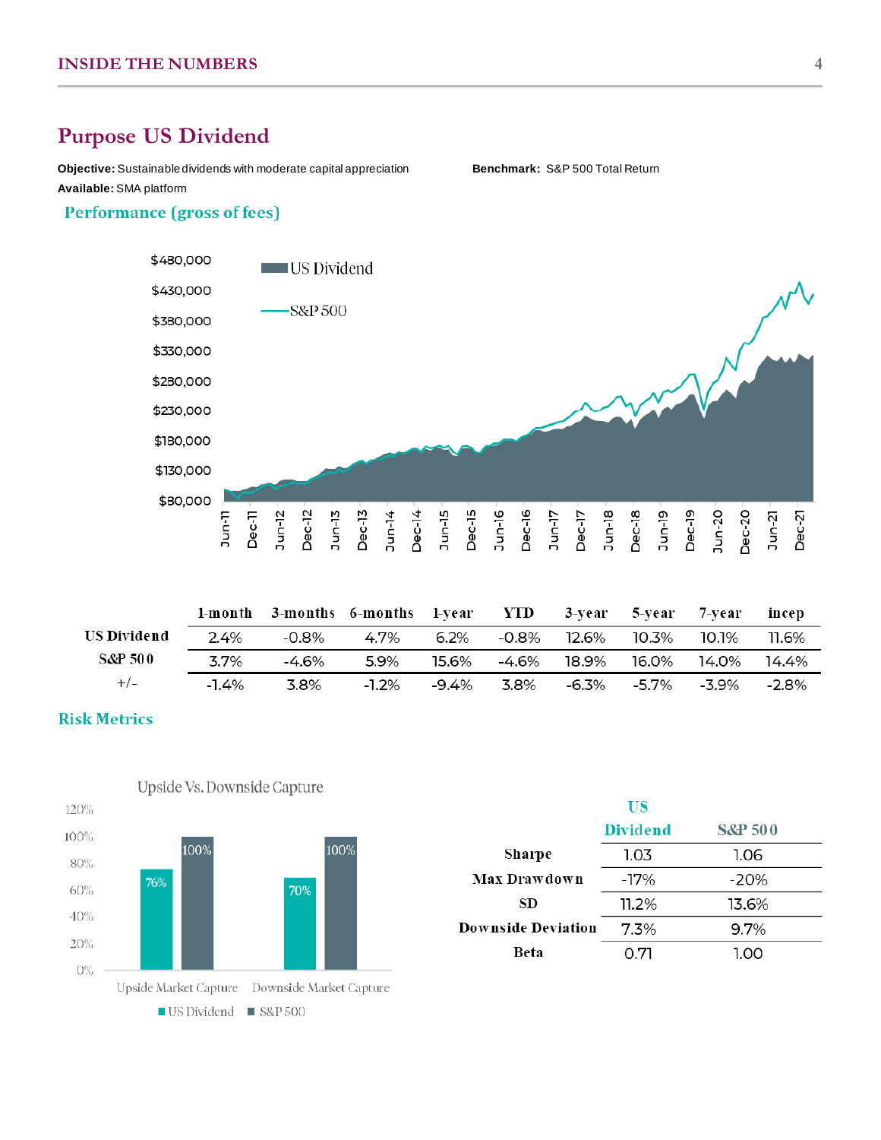## **Purpose US Dividend**

**Objective:** Sustainable dividends with moderate capital appreciation **Benchmark:** S&P 500 Total Return **Available:** SMA platform

## **Performance (gross of fees)**



|             |          |       | 1-month 3-months 6-months 1-year YTD 3-year 5-year 7-year incep |  |                                                            |       |
|-------------|----------|-------|-----------------------------------------------------------------|--|------------------------------------------------------------|-------|
| US Dividend | 2.4%     | -0.8% | 4.7%                                                            |  | 6.2% -0.8% 12.6% 10.3% 10.1%                               | 11.6% |
| S&P 500     | 3.7%     | -4.6% | 5.9%                                                            |  |                                                            |       |
| $+/-$       | $-1.4\%$ | -3.8% |                                                                 |  | $-1.2\%$ $-9.4\%$ 3.8% $-6.3\%$ $-5.7\%$ $-3.9\%$ $-2.8\%$ |       |

#### **Risk Metrics**



|                           | US              |                    |
|---------------------------|-----------------|--------------------|
|                           | <b>Dividend</b> | <b>S&amp;P 500</b> |
| Sharpe                    | 1.03            | 1.06               |
| Max Drawdown              | -17%            | $-20%$             |
| SD                        | 11.2%           | 13.6%              |
| <b>Downside Deviation</b> | 7.3%            | 9.7%               |
| Beta                      | 0.71            | 1.00               |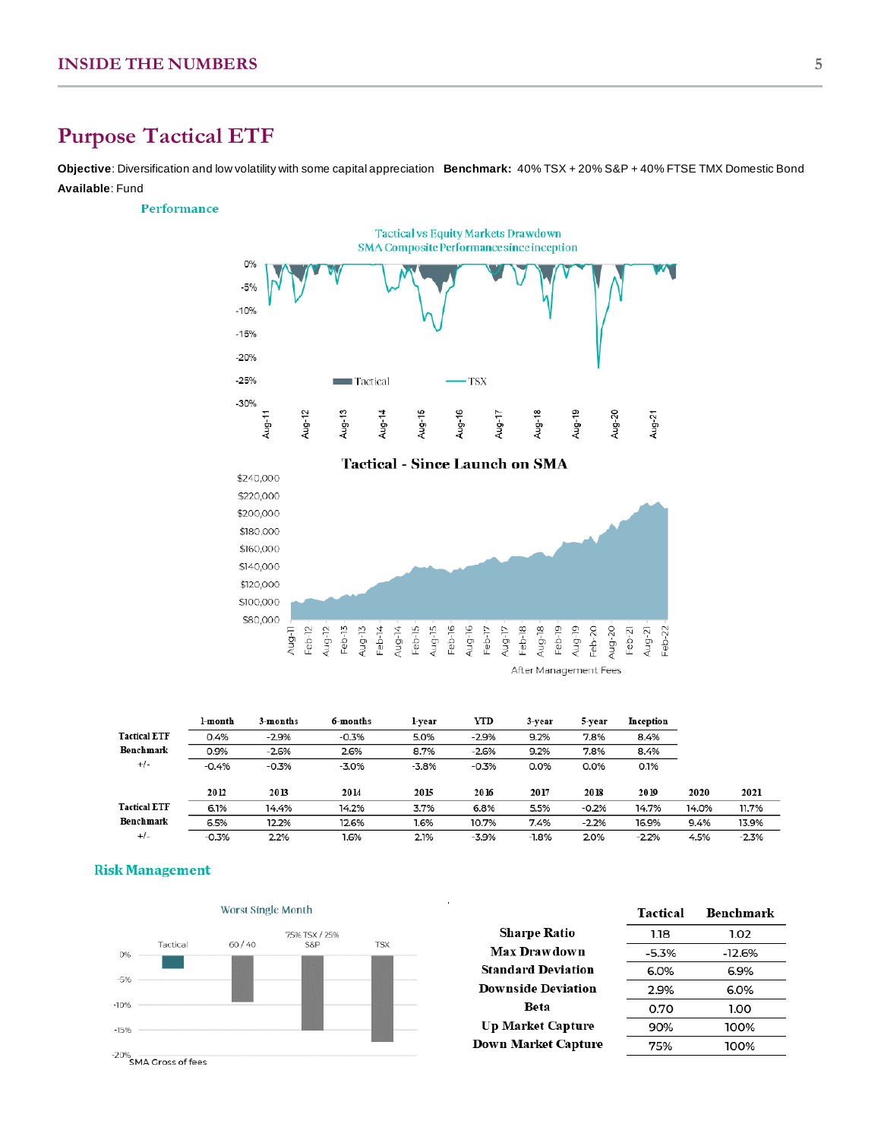## **Purpose Tactical ETF**

**Objective**: Diversification and low volatility with some capital appreciation **Benchmark:** 40% TSX + 20% S&P + 40% FTSE TMX Domestic Bond **Available**: Fund

#### Performance





After Management Fees

|                     | l-month | 3-months | 6-months | l-vear  | YTD     | 3-year  | 5-year  | Inception |       |         |
|---------------------|---------|----------|----------|---------|---------|---------|---------|-----------|-------|---------|
| <b>Tactical ETF</b> | 0.4%    | $-2.9%$  | $-0.3%$  | 5.0%    | $-2.9%$ | 9.2%    | 7.8%    | 8.4%      |       |         |
| Benchmark           | 0.9%    | $-2.6%$  | 2.6%     | 8.7%    | $-2.6%$ | 9.2%    | 7.8%    | 8.4%      |       |         |
| $+/-$               | $-0.4%$ | $-0.3%$  | $-3.0%$  | $-3.8%$ | $-0.3%$ | 0.0%    | 0.0%    | 0.1%      |       |         |
|                     |         |          |          |         |         |         |         |           |       |         |
|                     | 2012    | 2013     | 2014     | 2015    | 2016    | 2017    | 2018    | 2019      | 2020  | 2021    |
| <b>Tactical ETF</b> | 6.1%    | 14.4%    | 14.2%    | 3.7%    | 6.8%    | 5.5%    | $-0.2%$ | 14.7%     | 14.0% | 11.7%   |
| Benchmark           | 6.5%    | 12.2%    | 12.6%    | 1.6%    | 10.7%   | 7.4%    | $-2.2%$ | 16.9%     | 9.4%  | 13.9%   |
| $+/-$               | $-0.3%$ | 2.2%     | 1.6%     | 2.1%    | $-3.9%$ | $-1.8%$ | 2.0%    | $-2.2%$   | 4.5%  | $-2.3%$ |
|                     |         |          |          |         |         |         |         |           |       |         |





|                            | <b>Tactical</b> | Benchmark |
|----------------------------|-----------------|-----------|
| <b>Sharpe Ratio</b>        | 1.18            | 1.02      |
| Max Drawdown               | $-5.3%$         | $-12.6%$  |
| <b>Standard Deviation</b>  | 6.0%            | 6.9%      |
| <b>Downside Deviation</b>  | 2.9%            | 6.0%      |
| Beta                       | 0.70            | 1.00      |
| <b>Up Market Capture</b>   | 90%             | 100%      |
| <b>Down Market Capture</b> | 75%             | 100%      |
|                            |                 |           |